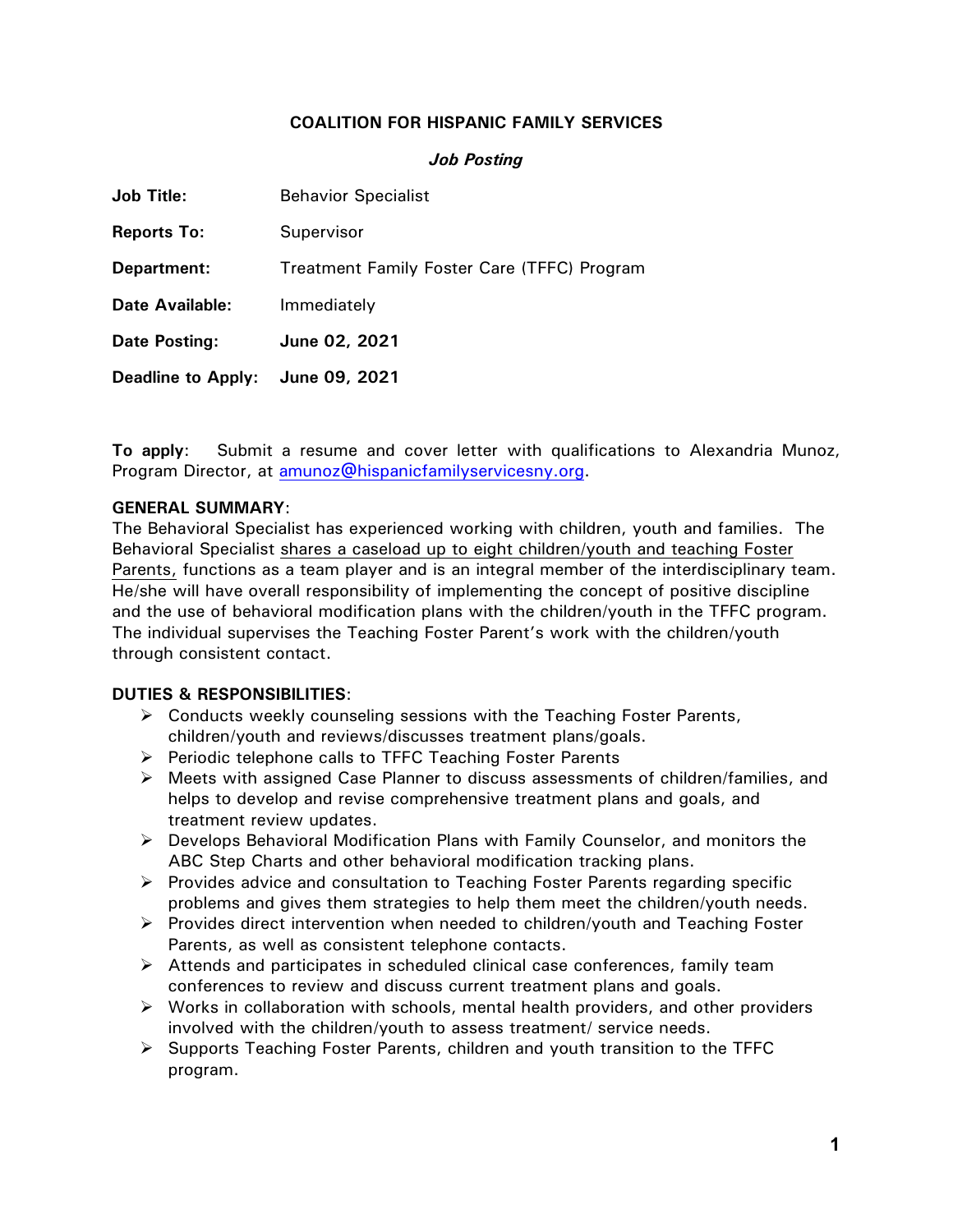# **COALITION FOR HISPANIC FAMILY SERVICES**

#### *Job Posting*

| <b>Job Title:</b>         | <b>Behavior Specialist</b>                  |
|---------------------------|---------------------------------------------|
| <b>Reports To:</b>        | Supervisor                                  |
| Department:               | Treatment Family Foster Care (TFFC) Program |
| <b>Date Available:</b>    | Immediately                                 |
| Date Posting:             | June 02, 2021                               |
| <b>Deadline to Apply:</b> | June 09, 2021                               |

**To apply**: Submit a resume and cover letter with qualifications to Alexandria Munoz, Program Director, at amunoz@hispanicfamilyservicesny.org.

#### **GENERAL SUMMARY**:

The Behavioral Specialist has experienced working with children, youth and families. The Behavioral Specialist shares a caseload up to eight children/youth and teaching Foster Parents, functions as a team player and is an integral member of the interdisciplinary team. He/she will have overall responsibility of implementing the concept of positive discipline and the use of behavioral modification plans with the children/youth in the TFFC program. The individual supervises the Teaching Foster Parent's work with the children/youth through consistent contact.

### **DUTIES & RESPONSIBILITIES**:

- $\triangleright$  Conducts weekly counseling sessions with the Teaching Foster Parents, children/youth and reviews/discusses treatment plans/goals.
- $\triangleright$  Periodic telephone calls to TFFC Teaching Foster Parents
- $\triangleright$  Meets with assigned Case Planner to discuss assessments of children/families, and helps to develop and revise comprehensive treatment plans and goals, and treatment review updates.
- $\triangleright$  Develops Behavioral Modification Plans with Family Counselor, and monitors the ABC Step Charts and other behavioral modification tracking plans.
- $\triangleright$  Provides advice and consultation to Teaching Foster Parents regarding specific problems and gives them strategies to help them meet the children/youth needs.
- $\triangleright$  Provides direct intervention when needed to children/youth and Teaching Foster Parents, as well as consistent telephone contacts.
- $\triangleright$  Attends and participates in scheduled clinical case conferences, family team conferences to review and discuss current treatment plans and goals.
- $\triangleright$  Works in collaboration with schools, mental health providers, and other providers involved with the children/youth to assess treatment/ service needs.
- $\triangleright$  Supports Teaching Foster Parents, children and youth transition to the TFFC program.